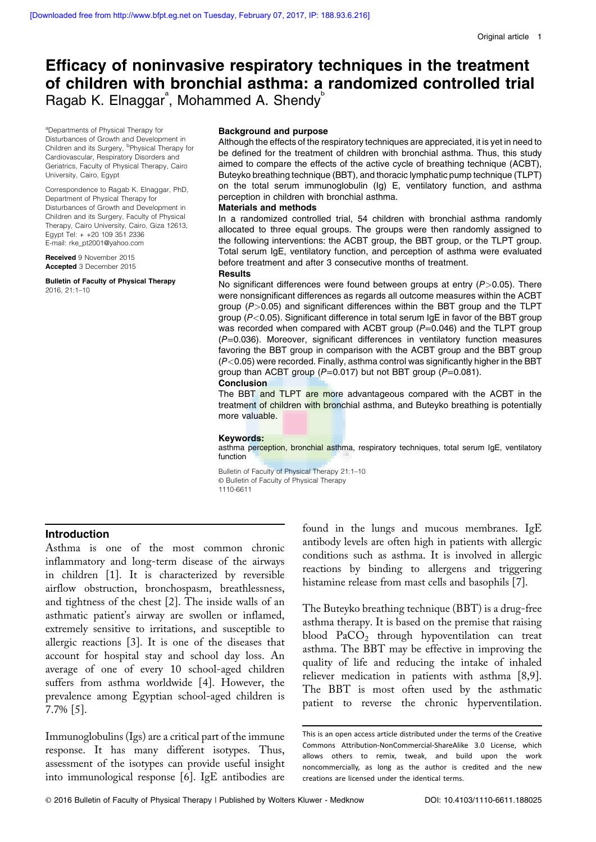# Efficacy of noninvasive respiratory techniques in the treatment of children with bronchial asthma: a randomized controlled trial Ragab K. Elnaggar<sup>ª</sup>, Mohammed A. Shendy<sup>b</sup>

<sup>a</sup>Departments of Physical Therapy for Disturbances of Growth and Development in Children and its Surgery, <sup>b</sup>Physical Therapy for Cardiovascular, Respiratory Disorders and Geriatrics, Faculty of Physical Therapy, Cairo University, Cairo, Egypt

Correspondence to Ragab K. Elnaggar, PhD, Department of Physical Therapy for Disturbances of Growth and Development in Children and its Surgery, Faculty of Physical Therapy, Cairo University, Cairo, Giza 12613, Egypt Tel: + +20 109 351 2336 E-mail: [rke\\_pt2001@yahoo.com](mailto:rke_pt2001@yahoo.com)

Received 9 November 2015 Accepted 3 December 2015

Bulletin of Faculty of Physical Therapy 2016, 21:1–10

#### Background and purpose

Although the effects of the respiratory techniques are appreciated, it is yet in need to be defined for the treatment of children with bronchial asthma. Thus, this study aimed to compare the effects of the active cycle of breathing technique (ACBT), Buteyko breathing technique (BBT), and thoracic lymphatic pump technique (TLPT) on the total serum immunoglobulin (Ig) E, ventilatory function, and asthma perception in children with bronchial asthma.

## Materials and methods

In a randomized controlled trial, 54 children with bronchial asthma randomly allocated to three equal groups. The groups were then randomly assigned to the following interventions: the ACBT group, the BBT group, or the TLPT group. Total serum IgE, ventilatory function, and perception of asthma were evaluated before treatment and after 3 consecutive months of treatment.

#### **Results**

No significant differences were found between groups at entry  $(P>0.05)$ . There were nonsignificant differences as regards all outcome measures within the ACBT group  $(P>0.05)$  and significant differences within the BBT group and the TLPT group ( $P < 0.05$ ). Significant difference in total serum IgE in favor of the BBT group was recorded when compared with ACBT group  $(P=0.046)$  and the TLPT group  $(P=0.036)$ . Moreover, significant differences in ventilatory function measures favoring the BBT group in comparison with the ACBT group and the BBT group  $(P<0.05)$  were recorded. Finally, asthma control was significantly higher in the BBT group than ACBT group ( $P=0.017$ ) but not BBT group ( $P=0.081$ ).

**Conclusion** 

The BBT and TLPT are more advantageous compared with the ACBT in the treatment of children with bronchial asthma, and Buteyko breathing is potentially more valuable.

#### Keywords:

asthma perception, bronchial asthma, respiratory techniques, total serum IgE, ventilatory function

Bulletin of Faculty of Physical Therapy 21:1–10 © Bulletin of Faculty of Physical Therapy 1110-6611

# Introduction

Asthma is one of the most common chronic inflammatory and long-term disease of the airways in children [1]. It is characterized by reversible airflow obstruction, bronchospasm, breathlessness, and tightness of the chest [2]. The inside walls of an asthmatic patient's airway are swollen or inflamed, extremely sensitive to irritations, and susceptible to allergic reactions [3]. It is one of the diseases that account for hospital stay and school day loss. An average of one of every 10 school-aged children suffers from asthma worldwide [4]. However, the prevalence among Egyptian school-aged children is 7.7% [5].

Immunoglobulins (Igs) are a critical part of the immune response. It has many different isotypes. Thus, assessment of the isotypes can provide useful insight into immunological response [6]. IgE antibodies are

found in the lungs and mucous membranes. IgE antibody levels are often high in patients with allergic conditions such as asthma. It is involved in allergic reactions by binding to allergens and triggering histamine release from mast cells and basophils [7].

The Buteyko breathing technique (BBT) is a drug-free asthma therapy. It is based on the premise that raising blood  $PaCO<sub>2</sub>$  through hypoventilation can treat asthma. The BBT may be effective in improving the quality of life and reducing the intake of inhaled reliever medication in patients with asthma [8,9]. The BBT is most often used by the asthmatic patient to reverse the chronic hyperventilation.

This is an open access article distributed under the terms of the Creative Commons Attribution-NonCommercial-ShareAlike 3.0 License, which allows others to remix, tweak, and build upon the work noncommercially, as long as the author is credited and the new creations are licensed under the identical terms.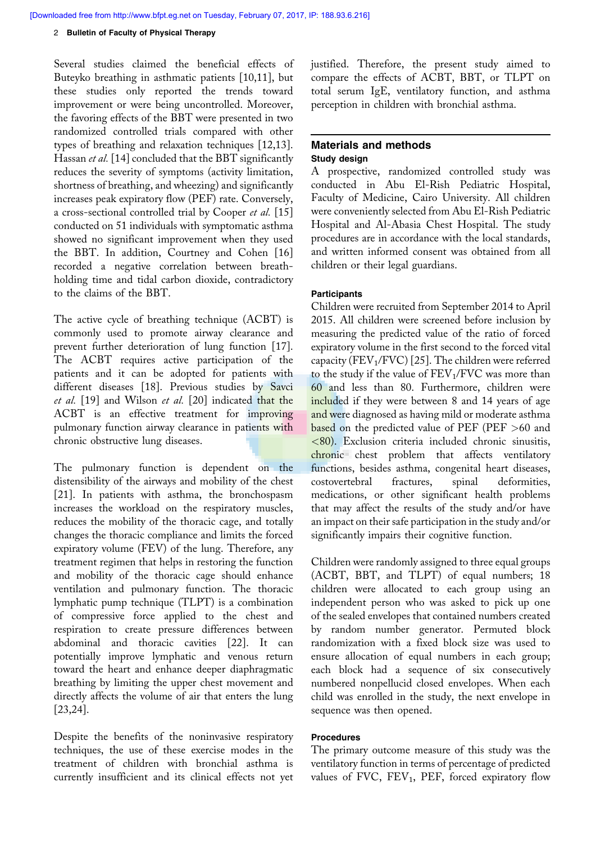#### 2 Bulletin of Faculty of Physical Therapy

Several studies claimed the beneficial effects of Buteyko breathing in asthmatic patients [10,11], but these studies only reported the trends toward improvement or were being uncontrolled. Moreover, the favoring effects of the BBT were presented in two randomized controlled trials compared with other types of breathing and relaxation techniques [12,13]. Hassan et al. [14] concluded that the BBT significantly reduces the severity of symptoms (activity limitation, shortness of breathing, and wheezing) and significantly increases peak expiratory flow (PEF) rate. Conversely, a cross-sectional controlled trial by Cooper et al. [15] conducted on 51 individuals with symptomatic asthma showed no significant improvement when they used the BBT. In addition, Courtney and Cohen [16] recorded a negative correlation between breathholding time and tidal carbon dioxide, contradictory to the claims of the BBT.

The active cycle of breathing technique (ACBT) is commonly used to promote airway clearance and prevent further deterioration of lung function [17]. The ACBT requires active participation of the patients and it can be adopted for patients with different diseases [18]. Previous studies by Savci et al. [19] and Wilson et al. [20] indicated that the ACBT is an effective treatment for improving pulmonary function airway clearance in patients with chronic obstructive lung diseases.

The pulmonary function is dependent on the distensibility of the airways and mobility of the chest [21]. In patients with asthma, the bronchospasm increases the workload on the respiratory muscles, reduces the mobility of the thoracic cage, and totally changes the thoracic compliance and limits the forced expiratory volume (FEV) of the lung. Therefore, any treatment regimen that helps in restoring the function and mobility of the thoracic cage should enhance ventilation and pulmonary function. The thoracic lymphatic pump technique (TLPT) is a combination of compressive force applied to the chest and respiration to create pressure differences between abdominal and thoracic cavities [22]. It can potentially improve lymphatic and venous return toward the heart and enhance deeper diaphragmatic breathing by limiting the upper chest movement and directly affects the volume of air that enters the lung [23,24].

Despite the benefits of the noninvasive respiratory techniques, the use of these exercise modes in the treatment of children with bronchial asthma is currently insufficient and its clinical effects not yet justified. Therefore, the present study aimed to compare the effects of ACBT, BBT, or TLPT on total serum IgE, ventilatory function, and asthma perception in children with bronchial asthma.

# Materials and methods Study design

A prospective, randomized controlled study was conducted in Abu El-Rish Pediatric Hospital, Faculty of Medicine, Cairo University. All children were conveniently selected from Abu El-Rish Pediatric Hospital and Al-Abasia Chest Hospital. The study procedures are in accordance with the local standards, and written informed consent was obtained from all children or their legal guardians.

## **Participants**

Children were recruited from September 2014 to April 2015. All children were screened before inclusion by measuring the predicted value of the ratio of forced expiratory volume in the first second to the forced vital capacity ( $\rm FEV_1/FVC$ ) [25]. The children were referred to the study if the value of  $\rm FEV_1/\rm FVC$  was more than 60 and less than 80. Furthermore, children were included if they were between 8 and 14 years of age and were diagnosed as having mild or moderate asthma based on the predicted value of PEF (PEF >60 and <80). Exclusion criteria included chronic sinusitis, chronic chest problem that affects ventilatory functions, besides asthma, congenital heart diseases, costovertebral fractures, spinal deformities, medications, or other significant health problems that may affect the results of the study and/or have an impact on their safe participation in the study and/or significantly impairs their cognitive function.

Children were randomly assigned to three equal groups (ACBT, BBT, and TLPT) of equal numbers; 18 children were allocated to each group using an independent person who was asked to pick up one of the sealed envelopes that contained numbers created by random number generator. Permuted block randomization with a fixed block size was used to ensure allocation of equal numbers in each group; each block had a sequence of six consecutively numbered nonpellucid closed envelopes. When each child was enrolled in the study, the next envelope in sequence was then opened.

# Procedures

The primary outcome measure of this study was the ventilatory function in terms of percentage of predicted values of FVC,  $FEV_1$ ,  $PEF$ , forced expiratory flow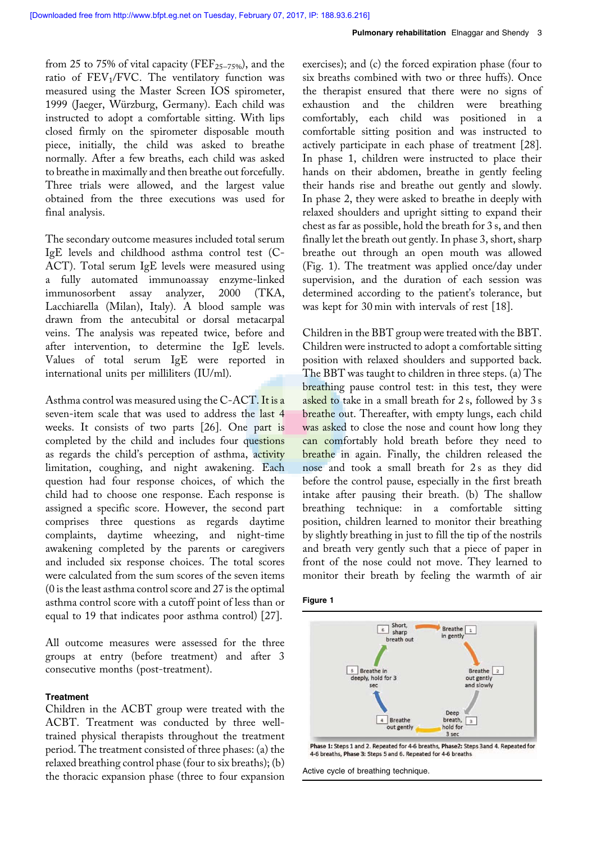from 25 to 75% of vital capacity (FEF<sub>25–75%</sub>), and the ratio of  $\rm FEV_1/FVC$ . The ventilatory function was measured using the Master Screen IOS spirometer, 1999 (Jaeger, Würzburg, Germany). Each child was instructed to adopt a comfortable sitting. With lips closed firmly on the spirometer disposable mouth piece, initially, the child was asked to breathe normally. After a few breaths, each child was asked to breathe in maximally and then breathe out forcefully. Three trials were allowed, and the largest value obtained from the three executions was used for final analysis.

The secondary outcome measures included total serum IgE levels and childhood asthma control test (C-ACT). Total serum IgE levels were measured using a fully automated immunoassay enzyme-linked immunosorbent assay analyzer, 2000 (TKA, Lacchiarella (Milan), Italy). A blood sample was drawn from the antecubital or dorsal metacarpal veins. The analysis was repeated twice, before and after intervention, to determine the IgE levels. Values of total serum IgE were reported in international units per milliliters (IU/ml).

Asthma control was measured using the C-ACT. It is a seven-item scale that was used to address the last 4 weeks. It consists of two parts [26]. One part is completed by the child and includes four questions as regards the child's perception of asthma, activity limitation, coughing, and night awakening. Each question had four response choices, of which the child had to choose one response. Each response is assigned a specific score. However, the second part comprises three questions as regards daytime complaints, daytime wheezing, and night-time awakening completed by the parents or caregivers and included six response choices. The total scores were calculated from the sum scores of the seven items (0 is the least asthma control score and 27 is the optimal asthma control score with a cutoff point of less than or equal to 19 that indicates poor asthma control) [27].

All outcome measures were assessed for the three groups at entry (before treatment) and after 3 consecutive months (post-treatment).

# **Treatment**

Children in the ACBT group were treated with the ACBT. Treatment was conducted by three welltrained physical therapists throughout the treatment period. The treatment consisted of three phases: (a) the relaxed breathing control phase (four to six breaths); (b) the thoracic expansion phase (three to four expansion exercises); and (c) the forced expiration phase (four to six breaths combined with two or three huffs). Once the therapist ensured that there were no signs of exhaustion and the children were breathing comfortably, each child was positioned in a comfortable sitting position and was instructed to actively participate in each phase of treatment [28]. In phase 1, children were instructed to place their hands on their abdomen, breathe in gently feeling their hands rise and breathe out gently and slowly. In phase 2, they were asked to breathe in deeply with relaxed shoulders and upright sitting to expand their chest as far as possible, hold the breath for 3 s, and then finally let the breath out gently. In phase 3, short, sharp breathe out through an open mouth was allowed (Fig. 1). The treatment was applied once/day under supervision, and the duration of each session was determined according to the patient's tolerance, but was kept for 30 min with intervals of rest [18].

Children in the BBT group were treated with the BBT. Children were instructed to adopt a comfortable sitting position with relaxed shoulders and supported back. The BBT was taught to children in three steps. (a) The breathing pause control test: in this test, they were asked to take in a small breath for 2 s, followed by 3 s breathe out. Thereafter, with empty lungs, each child was asked to close the nose and count how long they can comfortably hold breath before they need to breathe in again. Finally, the children released the nose and took a small breath for 2s as they did before the control pause, especially in the first breath intake after pausing their breath. (b) The shallow breathing technique: in a comfortable sitting position, children learned to monitor their breathing by slightly breathing in just to fill the tip of the nostrils and breath very gently such that a piece of paper in front of the nose could not move. They learned to monitor their breath by feeling the warmth of air





Phase 1: Steps 1 and 2. Repeated for 4-6 breaths, Phase2: Steps 3and 4. Repeated for 4-6 breaths, Phase 3: Steps 5 and 6, Repeated for 4-6 breaths

Active cycle of breathing technique.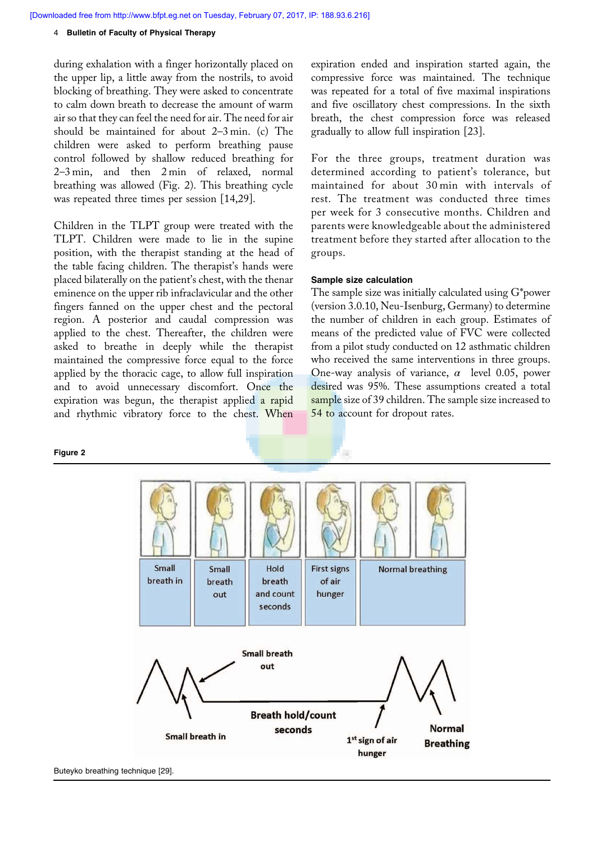[Downloaded free from http://www.bfpt.eg.net on Tuesday, February 07, 2017, IP: 188.93.6.216]

#### 4 Bulletin of Faculty of Physical Therapy

during exhalation with a finger horizontally placed on the upper lip, a little away from the nostrils, to avoid blocking of breathing. They were asked to concentrate to calm down breath to decrease the amount of warm air so that they can feel the need for air. The need for air should be maintained for about 2–3 min. (c) The children were asked to perform breathing pause control followed by shallow reduced breathing for 2–3 min, and then 2 min of relaxed, normal breathing was allowed (Fig. 2). This breathing cycle was repeated three times per session [14,29].

Children in the TLPT group were treated with the TLPT. Children were made to lie in the supine position, with the therapist standing at the head of the table facing children. The therapist's hands were placed bilaterally on the patient's chest, with the thenar eminence on the upper rib infraclavicular and the other fingers fanned on the upper chest and the pectoral region. A posterior and caudal compression was applied to the chest. Thereafter, the children were asked to breathe in deeply while the therapist maintained the compressive force equal to the force applied by the thoracic cage, to allow full inspiration and to avoid unnecessary discomfort. Once the expiration was begun, the therapist applied a rapid and rhythmic vibratory force to the chest. When

Figure 2

expiration ended and inspiration started again, the compressive force was maintained. The technique was repeated for a total of five maximal inspirations and five oscillatory chest compressions. In the sixth breath, the chest compression force was released gradually to allow full inspiration [23].

For the three groups, treatment duration was determined according to patient's tolerance, but maintained for about 30 min with intervals of rest. The treatment was conducted three times per week for 3 consecutive months. Children and parents were knowledgeable about the administered treatment before they started after allocation to the groups.

## Sample size calculation

The sample size was initially calculated using G\*power (version 3.0.10, Neu-Isenburg, Germany) to determine the number of children in each group. Estimates of means of the predicted value of FVC were collected from a pilot study conducted on 12 asthmatic children who received the same interventions in three groups. One-way analysis of variance,  $\alpha$  level 0.05, power desired was 95%. These assumptions created a total sample size of 39 children. The sample size increased to 54 to account for dropout rates.



Buteyko breathing technique [29].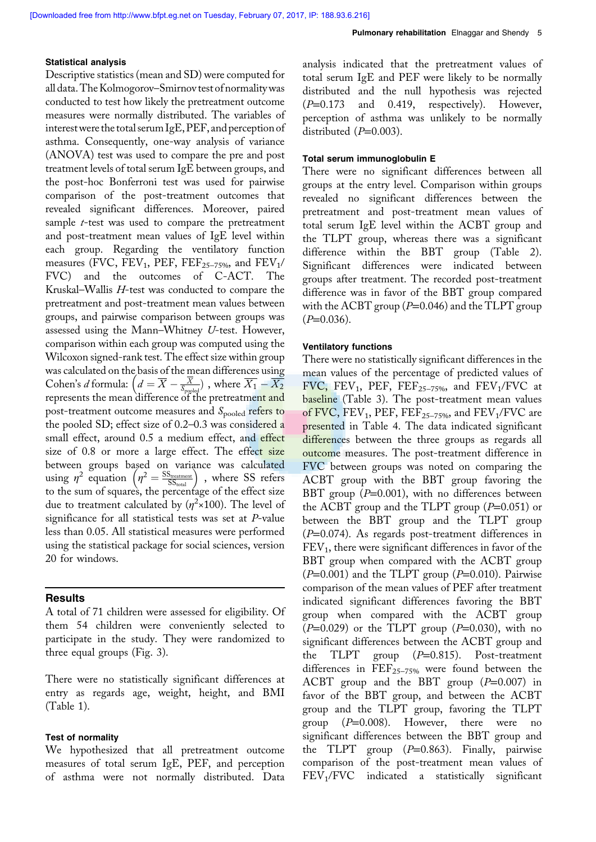## Statistical analysis

Descriptive statistics (mean and SD) were computed for all data. The Kolmogorov–Smirnov test of normalitywas conducted to test how likely the pretreatment outcome measures were normally distributed. The variables of interestwere the total serum IgE, PEF, and perceptionof asthma. Consequently, one-way analysis of variance (ANOVA) test was used to compare the pre and post treatment levels of total serum IgE between groups, and the post-hoc Bonferroni test was used for pairwise comparison of the post-treatment outcomes that revealed significant differences. Moreover, paired sample *t*-test was used to compare the pretreatment and post-treatment mean values of IgE level within each group. Regarding the ventilatory function measures (FVC, FEV<sub>1</sub>, PEF, FEF<sub>25–75%</sub>, and FEV<sub>1</sub>/ FVC) and the outcomes of C-ACT. The Kruskal–Wallis H-test was conducted to compare the pretreatment and post-treatment mean values between groups, and pairwise comparison between groups was assessed using the Mann–Whitney U-test. However, comparison within each group was computed using the Wilcoxon signed-rank test. The effect size within group was calculated on the basis of the mean differences using Cohen's *d* formula:  $\left(d = \overline{X} - \frac{\overline{X}}{S_{\text{pogled}}} \right)$ , where  $\overline{X_1} - \overline{X_2}$ represents the mean difference of the pretreatme<mark>nt and</mark> post-treatment outcome measures and S<sub>pooled</sub> refers to the pooled SD; effect size of 0.2–0.3 was considered a small effect, around 0.5 a medium effect, and effect size of 0.8 or more a large effect. The effect size between groups based on variance was calculated using  $\eta^2$  equation  $\left(\eta^2 = \frac{\text{SS}_{\text{treatment}}}{\text{SS}_{\text{total}}}\right)$  , where SS refers to the sum of squares, the percentage of the effect size due to treatment calculated by  $(\eta^2 \times 100)$ . The level of significance for all statistical tests was set at P-value less than 0.05. All statistical measures were performed using the statistical package for social sciences, version 20 for windows.

## **Results**

A total of 71 children were assessed for eligibility. Of them 54 children were conveniently selected to participate in the study. They were randomized to three equal groups (Fig. 3).

There were no statistically significant differences at entry as regards age, weight, height, and BMI (Table 1).

## Test of normality

We hypothesized that all pretreatment outcome measures of total serum IgE, PEF, and perception of asthma were not normally distributed. Data analysis indicated that the pretreatment values of total serum IgE and PEF were likely to be normally distributed and the null hypothesis was rejected  $(P=0.173$  and 0.419, respectively). However, perception of asthma was unlikely to be normally distributed  $(P=0.003)$ .

#### Total serum immunoglobulin E

There were no significant differences between all groups at the entry level. Comparison within groups revealed no significant differences between the pretreatment and post-treatment mean values of total serum IgE level within the ACBT group and the TLPT group, whereas there was a significant difference within the BBT group (Table 2). Significant differences were indicated between groups after treatment. The recorded post-treatment difference was in favor of the BBT group compared with the ACBT group ( $P=0.046$ ) and the TLPT group  $(P=0.036)$ .

#### Ventilatory functions

There were no statistically significant differences in the mean values of the percentage of predicted values of  $FVC$ ,  $FEV_1$ ,  $PEF$ ,  $FEF_{25-75\%}$ , and  $FEV_1/FVC$  at baseline (Table 3). The post-treatment mean values of FVC,  $\text{FEV}_1$ ,  $\text{PEF}$ ,  $\text{FEF}_{25-75\%}$ , and  $\text{FEV}_1/\text{FVC}$  are presented in Table 4. The data indicated significant differences between the three groups as regards all outcome measures. The post-treatment difference in FVC between groups was noted on comparing the ACBT group with the BBT group favoring the BBT group  $(P=0.001)$ , with no differences between the ACBT group and the TLPT group  $(P=0.051)$  or between the BBT group and the TLPT group (P=0.074). As regards post-treatment differences in  $FEV<sub>1</sub>$ , there were significant differences in favor of the BBT group when compared with the ACBT group  $(P=0.001)$  and the TLPT group  $(P=0.010)$ . Pairwise comparison of the mean values of PEF after treatment indicated significant differences favoring the BBT group when compared with the ACBT group  $(P=0.029)$  or the TLPT group  $(P=0.030)$ , with no significant differences between the ACBT group and the TLPT group  $(P=0.815)$ . Post-treatment differences in  $\text{FEF}_{25-75\%}$  were found between the ACBT group and the BBT group  $(P=0.007)$  in favor of the BBT group, and between the ACBT group and the TLPT group, favoring the TLPT group  $(P=0.008)$ . However, there were no significant differences between the BBT group and the TLPT group  $(P=0.863)$ . Finally, pairwise comparison of the post-treatment mean values of FEV<sup>1</sup> /FVC indicated a statistically significant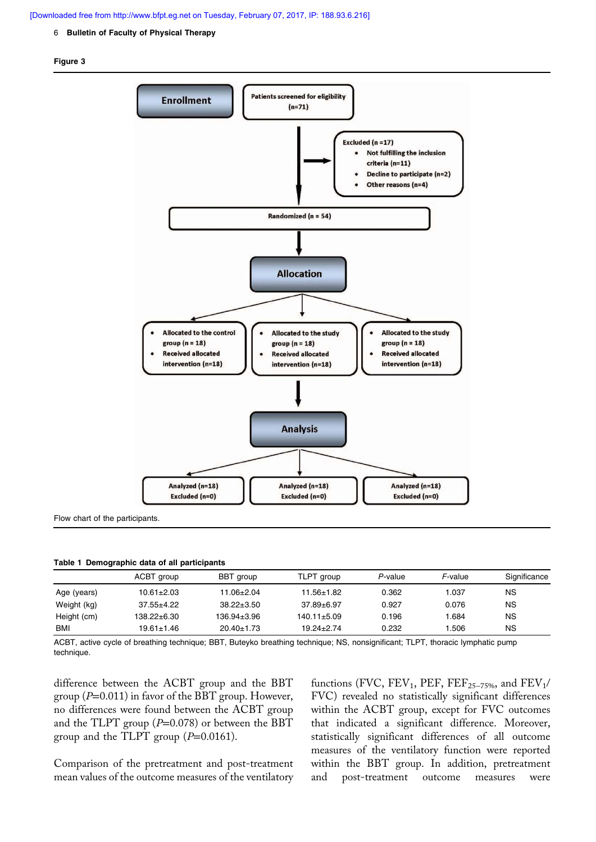## [Downloaded free from http://www.bfpt.eg.net on Tuesday, February 07, 2017, IP: 188.93.6.216]

#### 6 Bulletin of Faculty of Physical Therapy

## Figure 3



Flow chart of the participants.

|  | Table 1 Demographic data of all participants |  |  |
|--|----------------------------------------------|--|--|
|--|----------------------------------------------|--|--|

|             | ACBT group       | BBT group        | TLPT group        | P-value | F-value | Significance |
|-------------|------------------|------------------|-------------------|---------|---------|--------------|
| Age (years) | $10.61 \pm 2.03$ | 11.06±2.04       | 11.56±1.82        | 0.362   | 1.037   | ΝS           |
| Weight (kg) | $37.55 \pm 4.22$ | $38.22 \pm 3.50$ | $37.89 \pm 6.97$  | 0.927   | 0.076   | <b>NS</b>    |
| Height (cm) | 138.22±6.30      | 136.94±3.96      | $140.11 \pm 5.09$ | 0.196   | 1.684   | <b>NS</b>    |
| <b>BMI</b>  | 19.61±1.46       | $20.40 \pm 1.73$ | $19.24 \pm 2.74$  | 0.232   | .506    | ΝS           |

ACBT, active cycle of breathing technique; BBT, Buteyko breathing technique; NS, nonsignificant; TLPT, thoracic lymphatic pump technique.

difference between the ACBT group and the BBT group ( $P=0.011$ ) in favor of the BBT group. However, no differences were found between the ACBT group and the TLPT group  $(P=0.078)$  or between the BBT group and the TLPT group  $(P=0.0161)$ .

Comparison of the pretreatment and post-treatment mean values of the outcome measures of the ventilatory

functions (FVC,  $\text{FEV}_1$ ,  $\text{PEF}$ ,  $\text{FEF}_{25-75\%}$ , and  $\text{FEV}_1$ / FVC) revealed no statistically significant differences within the ACBT group, except for FVC outcomes that indicated a significant difference. Moreover, statistically significant differences of all outcome measures of the ventilatory function were reported within the BBT group. In addition, pretreatment and post-treatment outcome measures were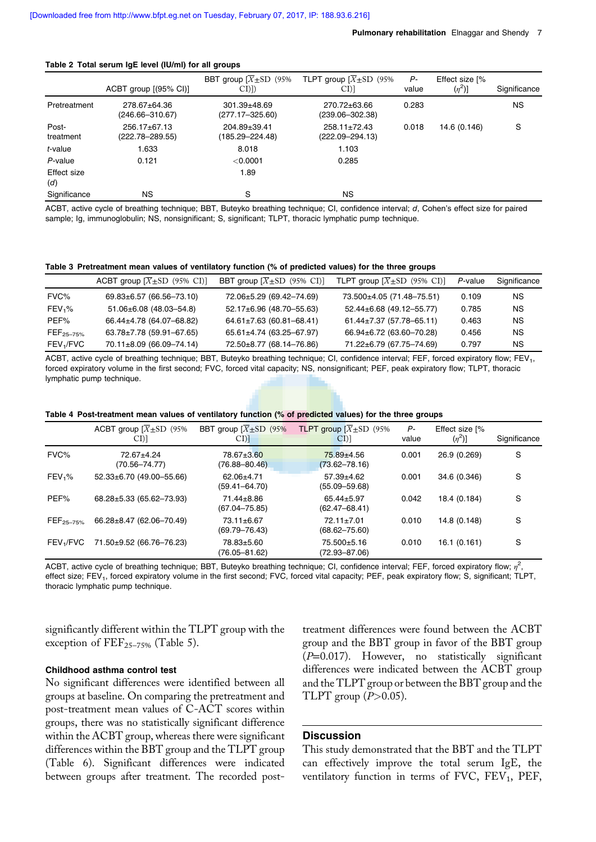#### Table 2 Total serum IgE level (IU/ml) for all groups

|                    | $ACBT$ group $[(95\% \text{ Cl})]$    | BBT group $[X+SD]$ (95%)<br>CI()          | TLPT group $[X \pm SD$ (95%)<br>CI)]      | Р-<br>value | Effect size [%<br>$(\eta^2)]$ | Significance |
|--------------------|---------------------------------------|-------------------------------------------|-------------------------------------------|-------------|-------------------------------|--------------|
| Pretreatment       | 278.67±64.36<br>(246.66-310.67)       | $301.39 \pm 48.69$<br>$(277.17 - 325.60)$ | 270.72±63.66<br>$(239.06 - 302.38)$       | 0.283       |                               | <b>NS</b>    |
| Post-<br>treatment | $256.17 \pm 67.13$<br>(222.78–289.55) | 204.89±39.41<br>(185.29–224.48)           | $258.11 \pm 72.43$<br>$(222.09 - 294.13)$ | 0.018       | 14.6 (0.146)                  | S            |
| t-value            | 1.633                                 | 8.018                                     | 1.103                                     |             |                               |              |
| P-value            | 0.121                                 | $<$ 0.0001                                | 0.285                                     |             |                               |              |
| Effect size<br>(d) |                                       | 1.89                                      |                                           |             |                               |              |
| Significance       | <b>NS</b>                             | S                                         | NS.                                       |             |                               |              |

ACBT, active cycle of breathing technique; BBT, Buteyko breathing technique; CI, confidence interval; d, Cohen's effect size for paired sample; Ig, immunoglobulin; NS, nonsignificant; S, significant; TLPT, thoracic lymphatic pump technique.

#### Table 3 Pretreatment mean values of ventilatory function (% of predicted values) for the three groups

|                       | ACBT group $[\overline{X} \pm SD$ (95% CI)] | BBT group $[\overline{X} \pm SD$ (95% CI)] | TLPT group $[\overline{X} \pm SD$ (95% CI)] | P-value | Significance |
|-----------------------|---------------------------------------------|--------------------------------------------|---------------------------------------------|---------|--------------|
| FVC%                  | 69.83±6.57 (66.56-73.10)                    | 72.06±5.29 (69.42-74.69)                   | 73.500±4.05 (71.48-75.51)                   | 0.109   | NS.          |
| FEV <sub>1</sub> %    | $51.06 \pm 6.08$ (48.03-54.8)               | 52.17±6.96 (48.70-55.63)                   | 52.44±6.68 (49.12-55.77)                    | 0.785   | NS.          |
| PEF%                  | 66.44±4.78 (64.07-68.82)                    | $64.61 \pm 7.63$ (60.81-68.41)             | $61.44 \pm 7.37$ (57.78-65.11)              | 0.463   | NS.          |
| $FEF_{25-75\%}$       | $63.78 \pm 7.78$ (59.91-67.65)              | 65.61±4.74 (63.25-67.97)                   | 66.94±6.72 (63.60-70.28)                    | 0.456   | NS.          |
| FEV <sub>1</sub> /FVC | $70.11 \pm 8.09$ (66.09-74.14)              | 72.50±8.77 (68.14-76.86)                   | 71.22±6.79 (67.75-74.69)                    | 0.797   | NS.          |

ACBT, active cycle of breathing technique; BBT, Buteyko breathing technique; CI, confidence interval; FEF, forced expiratory flow; FEV1, forced expiratory volume in the first second; FVC, forced vital capacity; NS, nonsignificant; PEF, peak expiratory flow; TLPT, thoracic lymphatic pump technique.

|                          | ACBT group $\overline{X}$ ± SD (95%)<br>$CI$ ) | BBT group $\sqrt{X}$ + SD (95%)<br>$CI$ ] | <b>TLPT</b> group $\overline{X}$ $\pm$ SD (95%)<br>CI <sub>2</sub> | P-<br>value | Effect size [%<br>$(\eta^2)$ ] | Significance |
|--------------------------|------------------------------------------------|-------------------------------------------|--------------------------------------------------------------------|-------------|--------------------------------|--------------|
| FVC%                     | 72.67±4.24<br>(70.56–74.77)                    | 78.67±3.60<br>$(76.88 - 80.46)$           | 75.89±4.56<br>$(73.62 - 78.16)$                                    | 0.001       | 26.9 (0.269)                   | S            |
| FEV <sub>1</sub> %       | $52.33\pm6.70$ (49.00-55.66)                   | 62.06±4.71<br>$(59.41 - 64.70)$           | 57.39±4.62<br>$(55.09 - 59.68)$                                    | 0.001       | 34.6 (0.346)                   | S            |
| PEF%                     | 68.28±5.33 (65.62-73.93)                       | 71.44±8.86<br>$(67.04 - 75.85)$           | 65.44±5.97<br>$(62.47 - 68.41)$                                    | 0.042       | 18.4 (0.184)                   | S            |
| $\mathsf{FEF}_{25-75\%}$ | 66.28±8.47 (62.06-70.49)                       | 73.11±6.67<br>$(69.79 - 76.43)$           | $72.11 \pm 7.01$<br>$(68.62 - 75.60)$                              | 0.010       | 14.8 (0.148)                   | S            |
| FEV <sub>1</sub> /FVC    | 71.50±9.52 (66.76-76.23)                       | 78.83±5.60<br>(76.05–81.62)               | 75.500±5.16<br>$(72.93 - 87.06)$                                   | 0.010       | 16.1(0.161)                    | S            |

ACBT, active cycle of breathing technique; BBT, Buteyko breathing technique; CI, confidence interval; FEF, forced expiratory flow;  $\eta^2$ , effect size; FEV<sub>1</sub>, forced expiratory volume in the first second; FVC, forced vital capacity; PEF, peak expiratory flow; S, significant; TLPT, thoracic lymphatic pump technique.

significantly different within the TLPT group with the exception of  $\text{FEF}_{25-75\%}$  (Table 5).

## Childhood asthma control test

No significant differences were identified between all groups at baseline. On comparing the pretreatment and post-treatment mean values of C-ACT scores within groups, there was no statistically significant difference within the ACBT group, whereas there were significant differences within the BBT group and the TLPT group (Table 6). Significant differences were indicated between groups after treatment. The recorded posttreatment differences were found between the ACBT group and the BBT group in favor of the BBT group (P=0.017). However, no statistically significant differences were indicated between the ACBT group and the TLPT group or between the BBT group and the TLPT group  $(P>0.05)$ .

# **Discussion**

This study demonstrated that the BBT and the TLPT can effectively improve the total serum IgE, the ventilatory function in terms of  $\text{FVC}, \text{FEV}_1, \text{PEF},$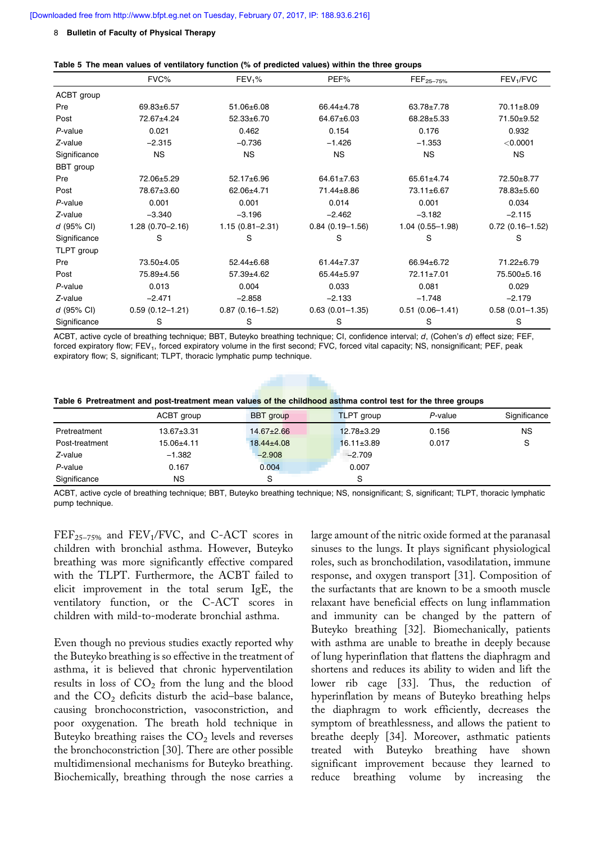#### 8 Bulletin of Faculty of Physical Therapy

#### Table 5 The mean values of ventilatory function (% of predicted values) within the three groups

|              | FVC%                | $FEV1$ %            | PEF%                | $FEF_{25-75\%}$     | FEV <sub>1</sub> /FVC |
|--------------|---------------------|---------------------|---------------------|---------------------|-----------------------|
| ACBT group   |                     |                     |                     |                     |                       |
| Pre          | 69.83±6.57          | $51.06 \pm 6.08$    | 66.44±4.78          | 63.78±7.78          | 70.11±8.09            |
| Post         | 72.67±4.24          | $52.33 \pm 6.70$    | 64.67±6.03          | 68.28±5.33          | 71.50±9.52            |
| P-value      | 0.021               | 0.462               | 0.154               | 0.176               | 0.932                 |
| $Z$ -value   | $-2.315$            | $-0.736$            | $-1.426$            | $-1.353$            | $<$ 0.0001            |
| Significance | <b>NS</b>           | <b>NS</b>           | <b>NS</b>           | <b>NS</b>           | <b>NS</b>             |
| BBT group    |                     |                     |                     |                     |                       |
| Pre          | 72.06±5.29          | 52.17±6.96          | $64.61 \pm 7.63$    | $65.61 \pm 4.74$    | 72.50±8.77            |
| Post         | 78.67±3.60          | 62.06±4.71          | 71.44±8.86          | 73.11±6.67          | 78.83±5.60            |
| $P$ -value   | 0.001               | 0.001               | 0.014               | 0.001               | 0.034                 |
| Z-value      | $-3.340$            | $-3.196$            | $-2.462$            | $-3.182$            | $-2.115$              |
| $d$ (95% CI) | $1.28(0.70 - 2.16)$ | $1.15(0.81 - 2.31)$ | $0.84(0.19 - 1.56)$ | $1.04(0.55 - 1.98)$ | $0.72(0.16 - 1.52)$   |
| Significance | S                   | S                   | S                   | S                   | S                     |
| TLPT group   |                     |                     |                     |                     |                       |
| Pre          | 73.50±4.05          | $52.44 \pm 6.68$    | $61.44 \pm 7.37$    | 66.94±6.72          | 71.22±6.79            |
| Post         | 75.89±4.56          | $57.39 + 4.62$      | 65.44±5.97          | 72.11±7.01          | 75.500±5.16           |
| P-value      | 0.013               | 0.004               | 0.033               | 0.081               | 0.029                 |
| $Z$ -value   | $-2.471$            | $-2.858$            | $-2.133$            | $-1.748$            | $-2.179$              |
| d (95% CI)   | $0.59(0.12 - 1.21)$ | $0.87(0.16 - 1.52)$ | $0.63(0.01 - 1.35)$ | $0.51(0.06 - 1.41)$ | $0.58(0.01 - 1.35)$   |
| Significance | S                   | S                   | S                   | S                   | S                     |

ACBT, active cycle of breathing technique; BBT, Buteyko breathing technique; CI, confidence interval; d, (Cohen's d) effect size; FEF, forced expiratory flow; FEV<sub>1</sub>, forced expiratory volume in the first second; FVC, forced vital capacity; NS, nonsignificant; PEF, peak expiratory flow; S, significant; TLPT, thoracic lymphatic pump technique.

|  | Table 6 Pretreatment and post-treatment mean values of the childhood asthma control test for the three groups |
|--|---------------------------------------------------------------------------------------------------------------|
|--|---------------------------------------------------------------------------------------------------------------|

|                | ACBT group       | BBT group        | <b>TLPT</b> group | P-value | Significance |
|----------------|------------------|------------------|-------------------|---------|--------------|
| Pretreatment   | $13.67 \pm 3.31$ | $14.67 \pm 2.66$ | $12.78 \pm 3.29$  | 0.156   | NS.          |
| Post-treatment | 15.06±4.11       | $18.44 \pm 4.08$ | $16.11 \pm 3.89$  | 0.017   | S            |
| Z-value        | $-1.382$         | $-2.908$         | $-2.709$          |         |              |
| P-value        | 0.167            | 0.004            | 0.007             |         |              |
| Significance   | NS               | S                | S                 |         |              |

ACBT, active cycle of breathing technique; BBT, Buteyko breathing technique; NS, nonsignificant; S, significant; TLPT, thoracic lymphatic pump technique.

 $FEF_{25-75\%}$  and  $FEV_1/FVC$ , and  $C\text{-}ACT$  scores in children with bronchial asthma. However, Buteyko breathing was more significantly effective compared with the TLPT. Furthermore, the ACBT failed to elicit improvement in the total serum IgE, the ventilatory function, or the C-ACT scores in children with mild-to-moderate bronchial asthma.

Even though no previous studies exactly reported why the Buteyko breathing is so effective in the treatment of asthma, it is believed that chronic hyperventilation results in loss of  $CO<sub>2</sub>$  from the lung and the blood and the  $CO<sub>2</sub>$  deficits disturb the acid–base balance, causing bronchoconstriction, vasoconstriction, and poor oxygenation. The breath hold technique in Buteyko breathing raises the  $\mathrm{CO}_2$  levels and reverses the bronchoconstriction [30]. There are other possible multidimensional mechanisms for Buteyko breathing. Biochemically, breathing through the nose carries a

large amount of the nitric oxide formed at the paranasal sinuses to the lungs. It plays significant physiological roles, such as bronchodilation, vasodilatation, immune response, and oxygen transport [31]. Composition of the surfactants that are known to be a smooth muscle relaxant have beneficial effects on lung inflammation and immunity can be changed by the pattern of Buteyko breathing [32]. Biomechanically, patients with asthma are unable to breathe in deeply because of lung hyperinflation that flattens the diaphragm and shortens and reduces its ability to widen and lift the lower rib cage [33]. Thus, the reduction of hyperinflation by means of Buteyko breathing helps the diaphragm to work efficiently, decreases the symptom of breathlessness, and allows the patient to breathe deeply [34]. Moreover, asthmatic patients treated with Buteyko breathing have shown significant improvement because they learned to reduce breathing volume by increasing the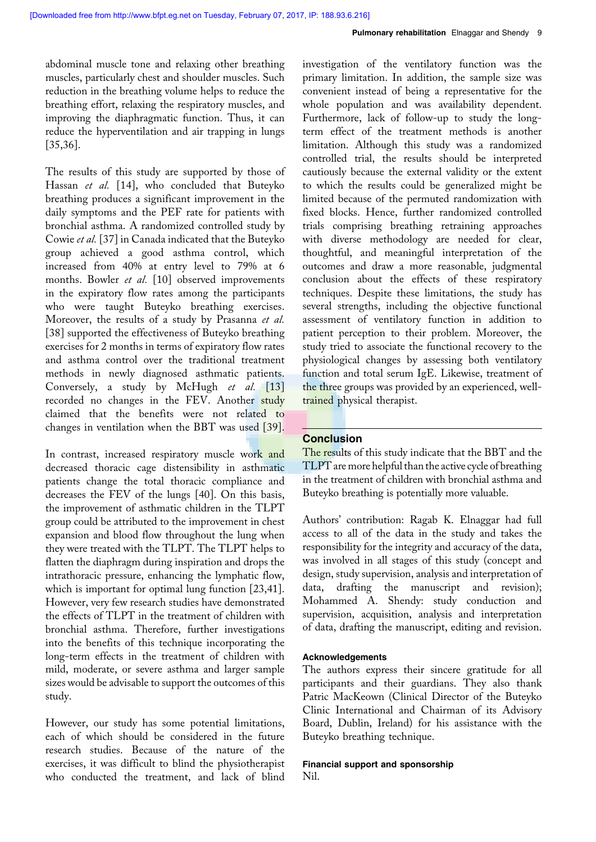abdominal muscle tone and relaxing other breathing muscles, particularly chest and shoulder muscles. Such reduction in the breathing volume helps to reduce the breathing effort, relaxing the respiratory muscles, and improving the diaphragmatic function. Thus, it can reduce the hyperventilation and air trapping in lungs [35,36].

The results of this study are supported by those of Hassan et al. [14], who concluded that Buteyko breathing produces a significant improvement in the daily symptoms and the PEF rate for patients with bronchial asthma. A randomized controlled study by Cowie et al. [37] in Canada indicated that the Buteyko group achieved a good asthma control, which increased from 40% at entry level to 79% at 6 months. Bowler et al. [10] observed improvements in the expiratory flow rates among the participants who were taught Buteyko breathing exercises. Moreover, the results of a study by Prasanna et al. [38] supported the effectiveness of Buteyko breathing exercises for 2 months in terms of expiratory flow rates and asthma control over the traditional treatment methods in newly diagnosed asthmatic patients. Conversely, a study by McHugh et al. [13] recorded no changes in the FEV. Another study claimed that the benefits were not related to changes in ventilation when the BBT was used [39].

In contrast, increased respiratory muscle work and decreased thoracic cage distensibility in asthmatic patients change the total thoracic compliance and decreases the FEV of the lungs [40]. On this basis, the improvement of asthmatic children in the TLPT group could be attributed to the improvement in chest expansion and blood flow throughout the lung when they were treated with the TLPT. The TLPT helps to flatten the diaphragm during inspiration and drops the intrathoracic pressure, enhancing the lymphatic flow, which is important for optimal lung function [23,41]. However, very few research studies have demonstrated the effects of TLPT in the treatment of children with bronchial asthma. Therefore, further investigations into the benefits of this technique incorporating the long-term effects in the treatment of children with mild, moderate, or severe asthma and larger sample sizes would be advisable to support the outcomes of this study.

However, our study has some potential limitations, each of which should be considered in the future research studies. Because of the nature of the exercises, it was difficult to blind the physiotherapist who conducted the treatment, and lack of blind

investigation of the ventilatory function was the primary limitation. In addition, the sample size was convenient instead of being a representative for the whole population and was availability dependent. Furthermore, lack of follow-up to study the longterm effect of the treatment methods is another limitation. Although this study was a randomized controlled trial, the results should be interpreted cautiously because the external validity or the extent to which the results could be generalized might be limited because of the permuted randomization with fixed blocks. Hence, further randomized controlled trials comprising breathing retraining approaches with diverse methodology are needed for clear, thoughtful, and meaningful interpretation of the outcomes and draw a more reasonable, judgmental conclusion about the effects of these respiratory techniques. Despite these limitations, the study has several strengths, including the objective functional assessment of ventilatory function in addition to patient perception to their problem. Moreover, the study tried to associate the functional recovery to the physiological changes by assessing both ventilatory function and total serum IgE. Likewise, treatment of the three groups was provided by an experienced, welltrained physical therapist.

# **Conclusion**

The results of this study indicate that the BBT and the TLPT are more helpful than the active cycle of breathing in the treatment of children with bronchial asthma and Buteyko breathing is potentially more valuable.

Authors' contribution: Ragab K. Elnaggar had full access to all of the data in the study and takes the responsibility for the integrity and accuracy of the data, was involved in all stages of this study (concept and design, study supervision, analysis and interpretation of data, drafting the manuscript and revision); Mohammed A. Shendy: study conduction and supervision, acquisition, analysis and interpretation of data, drafting the manuscript, editing and revision.

## Acknowledgements

The authors express their sincere gratitude for all participants and their guardians. They also thank Patric MacKeown (Clinical Director of the Buteyko Clinic International and Chairman of its Advisory Board, Dublin, Ireland) for his assistance with the Buteyko breathing technique.

# Financial support and sponsorship Nil.